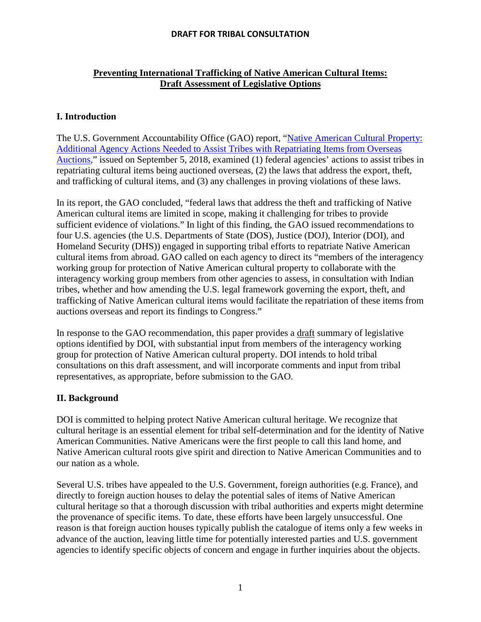# **Preventing International Trafficking of Native American Cultural Items: Draft Assessment of Legislative Options**

# **I. Introduction**

The U.S. Government Accountability Office (GAO) report, ["Native American Cultural Property:](https://www.gao.gov/assets/700/693744.pdf)  [Additional Agency Actions Needed to Assist Tribes with Repatriating Items from Overseas](https://www.gao.gov/assets/700/693744.pdf)  [Auctions,"](https://www.gao.gov/assets/700/693744.pdf) issued on September 5, 2018, examined (1) federal agencies' actions to assist tribes in repatriating cultural items being auctioned overseas, (2) the laws that address the export, theft, and trafficking of cultural items, and (3) any challenges in proving violations of these laws.

In its report, the GAO concluded, "federal laws that address the theft and trafficking of Native American cultural items are limited in scope, making it challenging for tribes to provide sufficient evidence of violations." In light of this finding, the GAO issued recommendations to four U.S. agencies (the U.S. Departments of State (DOS), Justice (DOJ), Interior (DOI), and Homeland Security (DHS)) engaged in supporting tribal efforts to repatriate Native American cultural items from abroad. GAO called on each agency to direct its "members of the interagency working group for protection of Native American cultural property to collaborate with the interagency working group members from other agencies to assess, in consultation with Indian tribes, whether and how amending the U.S. legal framework governing the export, theft, and trafficking of Native American cultural items would facilitate the repatriation of these items from auctions overseas and report its findings to Congress."

In response to the GAO recommendation, this paper provides a draft summary of legislative options identified by DOI, with substantial input from members of the interagency working group for protection of Native American cultural property. DOI intends to hold tribal consultations on this draft assessment, and will incorporate comments and input from tribal representatives, as appropriate, before submission to the GAO.

## **II. Background**

DOI is committed to helping protect Native American cultural heritage. We recognize that cultural heritage is an essential element for tribal self-determination and for the identity of Native American Communities. Native Americans were the first people to call this land home, and Native American cultural roots give spirit and direction to Native American Communities and to our nation as a whole.

Several U.S. tribes have appealed to the U.S. Government, foreign authorities (e.g. France), and directly to foreign auction houses to delay the potential sales of items of Native American cultural heritage so that a thorough discussion with tribal authorities and experts might determine the provenance of specific items. To date, these efforts have been largely unsuccessful. One reason is that foreign auction houses typically publish the catalogue of items only a few weeks in advance of the auction, leaving little time for potentially interested parties and U.S. government agencies to identify specific objects of concern and engage in further inquiries about the objects.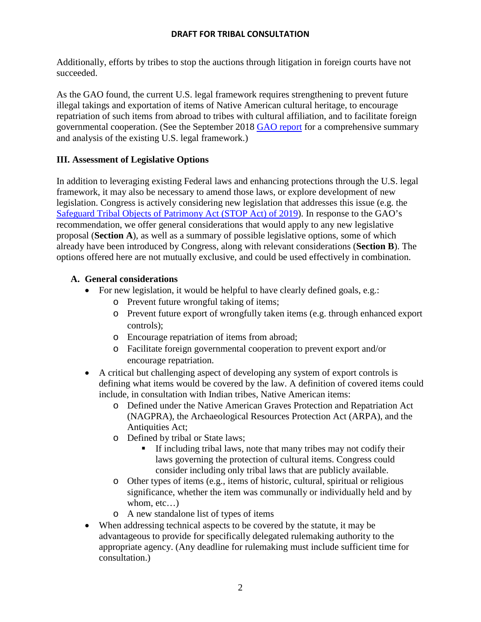Additionally, efforts by tribes to stop the auctions through litigation in foreign courts have not succeeded.

As the GAO found, the current U.S. legal framework requires strengthening to prevent future illegal takings and exportation of items of Native American cultural heritage, to encourage repatriation of such items from abroad to tribes with cultural affiliation, and to facilitate foreign governmental cooperation. (See the September 2018 [GAO report](https://www.gao.gov/assets/700/693744.pdf) for a comprehensive summary and analysis of the existing U.S. legal framework.)

# **III. Assessment of Legislative Options**

In addition to leveraging existing Federal laws and enhancing protections through the U.S. legal framework, it may also be necessary to amend those laws, or explore development of new legislation. Congress is actively considering new legislation that addresses this issue (e.g. the [Safeguard Tribal Objects of Patrimony Act \(STOP](https://www.congress.gov/116/bills/s2165/BILLS-116s2165is.pdf) Act) of 2019). In response to the GAO's recommendation, we offer general considerations that would apply to any new legislative proposal (**Section A**), as well as a summary of possible legislative options, some of which already have been introduced by Congress, along with relevant considerations (**Section B**). The options offered here are not mutually exclusive, and could be used effectively in combination.

# **A. General considerations**

- For new legislation, it would be helpful to have clearly defined goals, e.g.:
	- o Prevent future wrongful taking of items;
	- o Prevent future export of wrongfully taken items (e.g. through enhanced export controls);
	- o Encourage repatriation of items from abroad;
	- o Facilitate foreign governmental cooperation to prevent export and/or encourage repatriation.
- A critical but challenging aspect of developing any system of export controls is defining what items would be covered by the law. A definition of covered items could include, in consultation with Indian tribes, Native American items:
	- o Defined under the Native American Graves Protection and Repatriation Act (NAGPRA), the Archaeological Resources Protection Act (ARPA), and the Antiquities Act;
	- o Defined by tribal or State laws;
		- If including tribal laws, note that many tribes may not codify their laws governing the protection of cultural items. Congress could consider including only tribal laws that are publicly available.
	- o Other types of items (e.g., items of historic, cultural, spiritual or religious significance, whether the item was communally or individually held and by whom, etc...)
	- o A new standalone list of types of items
- When addressing technical aspects to be covered by the statute, it may be advantageous to provide for specifically delegated rulemaking authority to the appropriate agency. (Any deadline for rulemaking must include sufficient time for consultation.)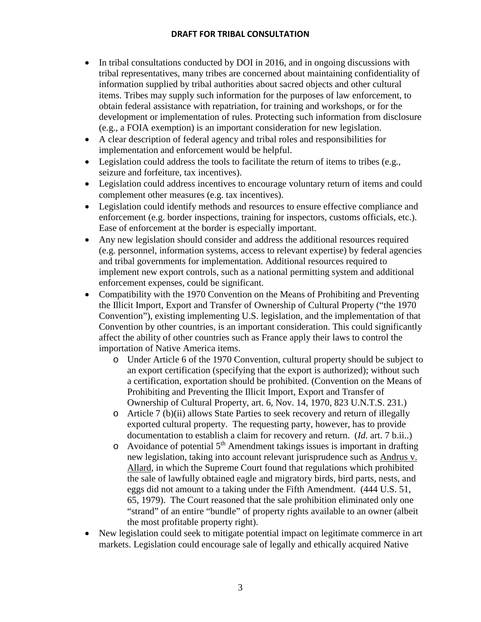- In tribal consultations conducted by DOI in 2016, and in ongoing discussions with tribal representatives, many tribes are concerned about maintaining confidentiality of information supplied by tribal authorities about sacred objects and other cultural items. Tribes may supply such information for the purposes of law enforcement, to obtain federal assistance with repatriation, for training and workshops, or for the development or implementation of rules. Protecting such information from disclosure (e.g., a FOIA exemption) is an important consideration for new legislation.
- A clear description of federal agency and tribal roles and responsibilities for implementation and enforcement would be helpful.
- Legislation could address the tools to facilitate the return of items to tribes (e.g., seizure and forfeiture, tax incentives).
- Legislation could address incentives to encourage voluntary return of items and could complement other measures (e.g. tax incentives).
- Legislation could identify methods and resources to ensure effective compliance and enforcement (e.g. border inspections, training for inspectors, customs officials, etc.). Ease of enforcement at the border is especially important.
- Any new legislation should consider and address the additional resources required (e.g. personnel, information systems, access to relevant expertise) by federal agencies and tribal governments for implementation. Additional resources required to implement new export controls, such as a national permitting system and additional enforcement expenses, could be significant.
- Compatibility with the 1970 Convention on the Means of Prohibiting and Preventing the Illicit Import, Export and Transfer of Ownership of Cultural Property ("the 1970 Convention"), existing implementing U.S. legislation, and the implementation of that Convention by other countries, is an important consideration. This could significantly affect the ability of other countries such as France apply their laws to control the importation of Native America items.
	- o Under Article 6 of the 1970 Convention, cultural property should be subject to an export certification (specifying that the export is authorized); without such a certification, exportation should be prohibited. (Convention on the Means of Prohibiting and Preventing the Illicit Import, Export and Transfer of Ownership of Cultural Property, art. 6, Nov. 14, 1970, 823 U.N.T.S. 231.)
	- o Article 7 (b)(ii) allows State Parties to seek recovery and return of illegally exported cultural property. The requesting party, however, has to provide documentation to establish a claim for recovery and return. (*Id*. art. 7 b.ii..)
	- $\circ$  Avoidance of potential 5<sup>th</sup> Amendment takings issues is important in drafting new legislation, taking into account relevant jurisprudence such as Andrus v. Allard, in which the Supreme Court found that regulations which prohibited the sale of lawfully obtained eagle and migratory birds, bird parts, nests, and eggs did not amount to a taking under the Fifth Amendment. (444 U.S. 51, 65, 1979). The Court reasoned that the sale prohibition eliminated only one "strand" of an entire "bundle" of property rights available to an owner (albeit the most profitable property right).
- New legislation could seek to mitigate potential impact on legitimate commerce in art markets. Legislation could encourage sale of legally and ethically acquired Native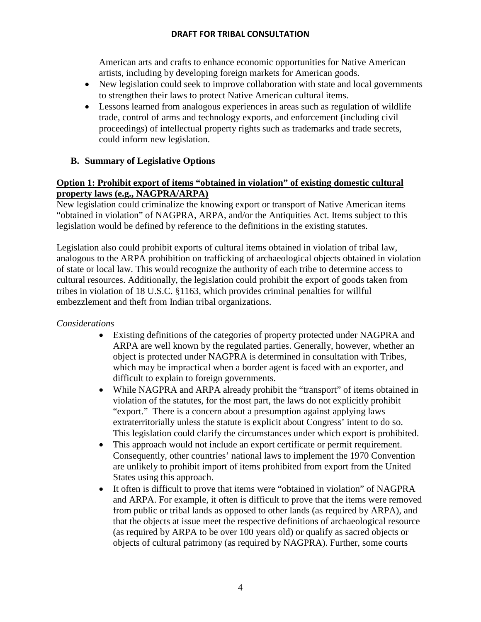American arts and crafts to enhance economic opportunities for Native American artists, including by developing foreign markets for American goods.

- New legislation could seek to improve collaboration with state and local governments to strengthen their laws to protect Native American cultural items.
- Lessons learned from analogous experiences in areas such as regulation of wildlife trade, control of arms and technology exports, and enforcement (including civil proceedings) of intellectual property rights such as trademarks and trade secrets, could inform new legislation.

# **B. Summary of Legislative Options**

## **Option 1: Prohibit export of items "obtained in violation" of existing domestic cultural property laws (e.g., NAGPRA/ARPA)**

New legislation could criminalize the knowing export or transport of Native American items "obtained in violation" of NAGPRA, ARPA, and/or the Antiquities Act. Items subject to this legislation would be defined by reference to the definitions in the existing statutes.

Legislation also could prohibit exports of cultural items obtained in violation of tribal law, analogous to the ARPA prohibition on trafficking of archaeological objects obtained in violation of state or local law. This would recognize the authority of each tribe to determine access to cultural resources. Additionally, the legislation could prohibit the export of goods taken from tribes in violation of 18 U.S.C. §1163, which provides criminal penalties for willful embezzlement and theft from Indian tribal organizations.

## *Considerations*

- Existing definitions of the categories of property protected under NAGPRA and ARPA are well known by the regulated parties. Generally, however, whether an object is protected under NAGPRA is determined in consultation with Tribes, which may be impractical when a border agent is faced with an exporter, and difficult to explain to foreign governments.
- While NAGPRA and ARPA already prohibit the "transport" of items obtained in violation of the statutes, for the most part, the laws do not explicitly prohibit "export." There is a concern about a presumption against applying laws extraterritorially unless the statute is explicit about Congress' intent to do so. This legislation could clarify the circumstances under which export is prohibited.
- This approach would not include an export certificate or permit requirement. Consequently, other countries' national laws to implement the 1970 Convention are unlikely to prohibit import of items prohibited from export from the United States using this approach.
- It often is difficult to prove that items were "obtained in violation" of NAGPRA and ARPA. For example, it often is difficult to prove that the items were removed from public or tribal lands as opposed to other lands (as required by ARPA), and that the objects at issue meet the respective definitions of archaeological resource (as required by ARPA to be over 100 years old) or qualify as sacred objects or objects of cultural patrimony (as required by NAGPRA). Further, some courts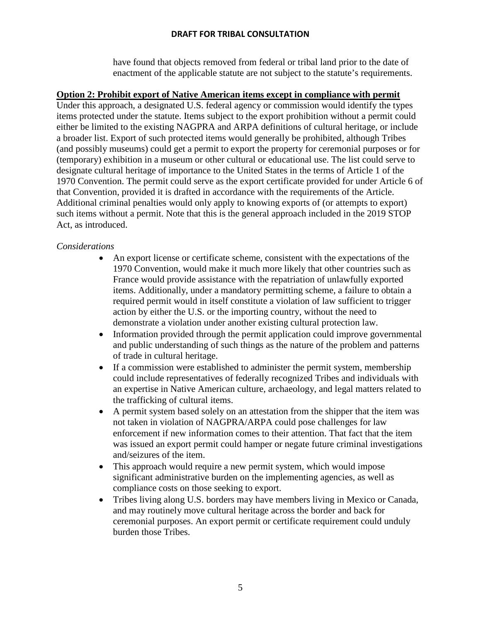have found that objects removed from federal or tribal land prior to the date of enactment of the applicable statute are not subject to the statute's requirements.

#### **Option 2: Prohibit export of Native American items except in compliance with permit**

Under this approach, a designated U.S. federal agency or commission would identify the types items protected under the statute. Items subject to the export prohibition without a permit could either be limited to the existing NAGPRA and ARPA definitions of cultural heritage, or include a broader list. Export of such protected items would generally be prohibited, although Tribes (and possibly museums) could get a permit to export the property for ceremonial purposes or for (temporary) exhibition in a museum or other cultural or educational use. The list could serve to designate cultural heritage of importance to the United States in the terms of Article 1 of the 1970 Convention. The permit could serve as the export certificate provided for under Article 6 of that Convention, provided it is drafted in accordance with the requirements of the Article. Additional criminal penalties would only apply to knowing exports of (or attempts to export) such items without a permit. Note that this is the general approach included in the 2019 STOP Act, as introduced.

## *Considerations*

- An export license or certificate scheme, consistent with the expectations of the 1970 Convention, would make it much more likely that other countries such as France would provide assistance with the repatriation of unlawfully exported items. Additionally, under a mandatory permitting scheme, a failure to obtain a required permit would in itself constitute a violation of law sufficient to trigger action by either the U.S. or the importing country, without the need to demonstrate a violation under another existing cultural protection law.
- Information provided through the permit application could improve governmental and public understanding of such things as the nature of the problem and patterns of trade in cultural heritage.
- If a commission were established to administer the permit system, membership could include representatives of federally recognized Tribes and individuals with an expertise in Native American culture, archaeology, and legal matters related to the trafficking of cultural items.
- A permit system based solely on an attestation from the shipper that the item was not taken in violation of NAGPRA/ARPA could pose challenges for law enforcement if new information comes to their attention. That fact that the item was issued an export permit could hamper or negate future criminal investigations and/seizures of the item.
- This approach would require a new permit system, which would impose significant administrative burden on the implementing agencies, as well as compliance costs on those seeking to export.
- Tribes living along U.S. borders may have members living in Mexico or Canada, and may routinely move cultural heritage across the border and back for ceremonial purposes. An export permit or certificate requirement could unduly burden those Tribes.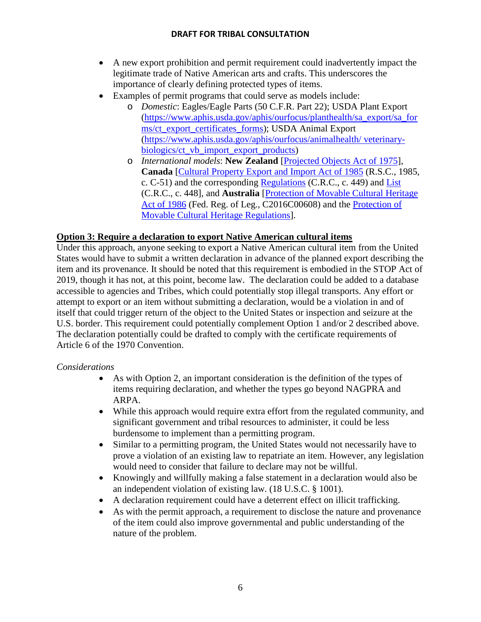- A new export prohibition and permit requirement could inadvertently impact the legitimate trade of Native American arts and crafts. This underscores the importance of clearly defining protected types of items.
- Examples of permit programs that could serve as models include:
	- o *Domestic*: Eagles/Eagle Parts (50 C.F.R. Part 22); USDA Plant Export [\(https://www.aphis.usda.gov/aphis/ourfocus/planthealth/sa\\_export/sa\\_for](https://www.aphis.usda.gov/aphis/ourfocus/planthealth/sa_export/sa_forms/ct_export_certificates_forms) [ms/ct\\_export\\_certificates\\_forms\)](https://www.aphis.usda.gov/aphis/ourfocus/planthealth/sa_export/sa_forms/ct_export_certificates_forms); USDA Animal Export [\(https://www.aphis.usda.gov/aphis/ourfocus/animalhealth/ veterinary](https://www.aphis.usda.gov/aphis/ourfocus/animalhealth/%20veterinary-biologics/ct_vb_import_export_products)[biologics/ct\\_vb\\_import\\_export\\_products\)](https://www.aphis.usda.gov/aphis/ourfocus/animalhealth/%20veterinary-biologics/ct_vb_import_export_products)
	- o *International models*: **New Zealand** [\[Projected Objects Act of 1975\]](http://www.legislation.govt.nz/act/public/1975/0041/latest/DLM432116.html), **Canada** [\[Cultural Property Export and Import Act of 1985](http://laws-lois.justice.gc.ca/eng/acts/C-51/) (R.S.C., 1985, c. C-51) and the corresponding [Regulations](http://laws-lois.justice.gc.ca/eng/regulations/C.R.C.,_c._449/) (C.R.C., c. 449) and [List](http://laws-lois.justice.gc.ca/eng/regulations/C.R.C.,_c._448/) (C.R.C., c. 448], and **Australia** [\[Protection of Movable Cultural Heritage](https://www.legislation.gov.au/Details/C2016C00902)  [Act of 1986](https://www.legislation.gov.au/Details/C2016C00902) (Fed. Reg. of Leg., C2016C00608) and the [Protection of](https://www.legislation.gov.au/Details/F2004C00105)  [Movable Cultural Heritage Regulations\]](https://www.legislation.gov.au/Details/F2004C00105).

## **Option 3: Require a declaration to export Native American cultural items**

Under this approach, anyone seeking to export a Native American cultural item from the United States would have to submit a written declaration in advance of the planned export describing the item and its provenance. It should be noted that this requirement is embodied in the STOP Act of 2019, though it has not, at this point, become law. The declaration could be added to a database accessible to agencies and Tribes, which could potentially stop illegal transports. Any effort or attempt to export or an item without submitting a declaration, would be a violation in and of itself that could trigger return of the object to the United States or inspection and seizure at the U.S. border. This requirement could potentially complement Option 1 and/or 2 described above. The declaration potentially could be drafted to comply with the certificate requirements of Article 6 of the 1970 Convention.

## *Considerations*

- As with Option 2, an important consideration is the definition of the types of items requiring declaration, and whether the types go beyond NAGPRA and ARPA.
- While this approach would require extra effort from the regulated community, and significant government and tribal resources to administer, it could be less burdensome to implement than a permitting program.
- Similar to a permitting program, the United States would not necessarily have to prove a violation of an existing law to repatriate an item. However, any legislation would need to consider that failure to declare may not be willful.
- Knowingly and willfully making a false statement in a declaration would also be an independent violation of existing law. (18 U.S.C. § 1001).
- A declaration requirement could have a deterrent effect on illicit trafficking.
- As with the permit approach, a requirement to disclose the nature and provenance of the item could also improve governmental and public understanding of the nature of the problem.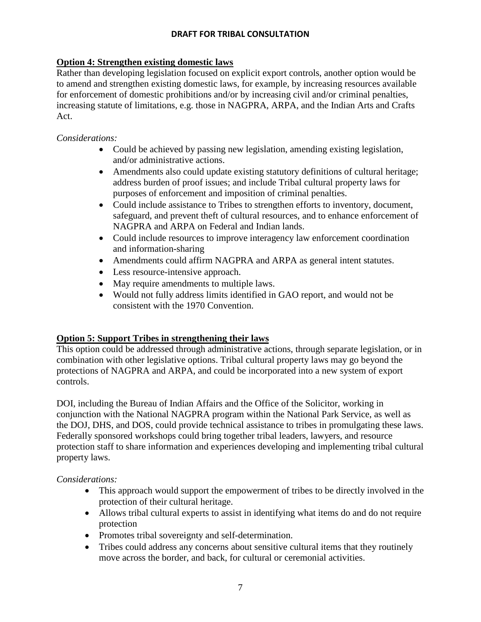## **Option 4: Strengthen existing domestic laws**

Rather than developing legislation focused on explicit export controls, another option would be to amend and strengthen existing domestic laws, for example, by increasing resources available for enforcement of domestic prohibitions and/or by increasing civil and/or criminal penalties, increasing statute of limitations, e.g. those in NAGPRA, ARPA, and the Indian Arts and Crafts Act.

#### *Considerations:*

- Could be achieved by passing new legislation, amending existing legislation, and/or administrative actions.
- Amendments also could update existing statutory definitions of cultural heritage; address burden of proof issues; and include Tribal cultural property laws for purposes of enforcement and imposition of criminal penalties.
- Could include assistance to Tribes to strengthen efforts to inventory, document, safeguard, and prevent theft of cultural resources, and to enhance enforcement of NAGPRA and ARPA on Federal and Indian lands.
- Could include resources to improve interagency law enforcement coordination and information-sharing
- Amendments could affirm NAGPRA and ARPA as general intent statutes.
- Less resource-intensive approach.
- May require amendments to multiple laws.
- Would not fully address limits identified in GAO report, and would not be consistent with the 1970 Convention.

## **Option 5: Support Tribes in strengthening their laws**

This option could be addressed through administrative actions, through separate legislation, or in combination with other legislative options. Tribal cultural property laws may go beyond the protections of NAGPRA and ARPA, and could be incorporated into a new system of export controls.

DOI, including the Bureau of Indian Affairs and the Office of the Solicitor, working in conjunction with the National NAGPRA program within the National Park Service, as well as the DOJ, DHS, and DOS, could provide technical assistance to tribes in promulgating these laws. Federally sponsored workshops could bring together tribal leaders, lawyers, and resource protection staff to share information and experiences developing and implementing tribal cultural property laws.

## *Considerations:*

- This approach would support the empowerment of tribes to be directly involved in the protection of their cultural heritage.
- Allows tribal cultural experts to assist in identifying what items do and do not require protection
- Promotes tribal sovereignty and self-determination.
- Tribes could address any concerns about sensitive cultural items that they routinely move across the border, and back, for cultural or ceremonial activities.